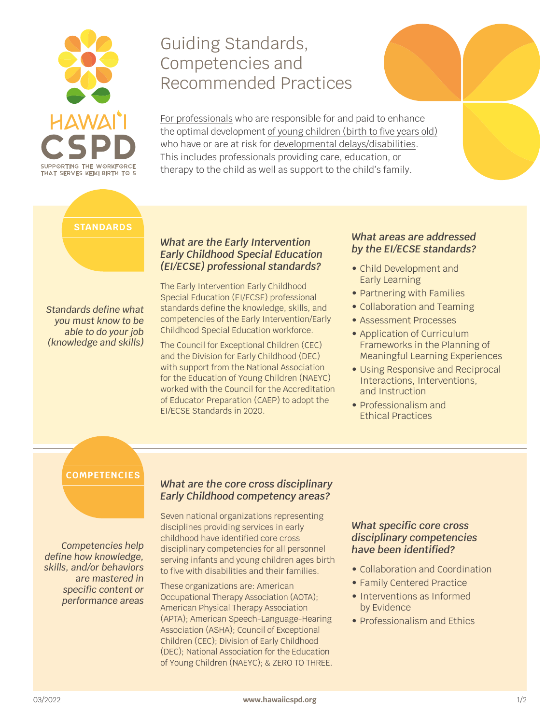

# Guiding Standards, Competencies and Recommended Practices

For professionals who are responsible for and paid to enhance the optimal development of young children (birth to five years old) who have or are at risk for developmental delays/disabilities. This includes professionals providing care, education, or therapy to the child as well as support to the child's family.

#### **STANDARDS**

### *What are the Early Intervention Early Childhood Special Education (EI/ECSE) professional standards?*

The Early Intervention Early Childhood Special Education (EI/ECSE) professional standards define the knowledge, skills, and competencies of the Early Intervention/Early Childhood Special Education workforce. *Standards define what you must know to be able to do your job (knowledge and skills)*

The Council for Exceptional Children (CEC) and the Division for Early Childhood (DEC) with support from the National Association for the Education of Young Children (NAEYC) worked with the Council for the Accreditation of Educator Preparation (CAEP) to adopt the EI/ECSE Standards in 2020.

### *What areas are addressed by the EI/ECSE standards?*

- Child Development and Early Learning
- Partnering with Families
- Collaboration and Teaming
- Assessment Processes
- Application of Curriculum Frameworks in the Planning of Meaningful Learning Experiences
- Using Responsive and Reciprocal Interactions, Interventions, and Instruction
- Professionalism and Ethical Practices

# **COMPETENCIES**

*Competencies help define how knowledge, skills, and/or behaviors are mastered in specific content or performance areas*

## *What are the core cross disciplinary Early Childhood competency areas?*

Seven national organizations representing disciplines providing services in early childhood have identified core cross disciplinary competencies for all personnel serving infants and young children ages birth to five with disabilities and their families.

These organizations are: American Occupational Therapy Association (AOTA); American Physical Therapy Association (APTA); American Speech-Language-Hearing Association (ASHA); Council of Exceptional Children (CEC); Division of Early Childhood (DEC); National Association for the Education of Young Children (NAEYC); & ZERO TO THREE.

#### *What specific core cross disciplinary competencies have been identified?*

- Collaboration and Coordination
- Family Centered Practice
- Interventions as Informed by Evidence
- Professionalism and Ethics